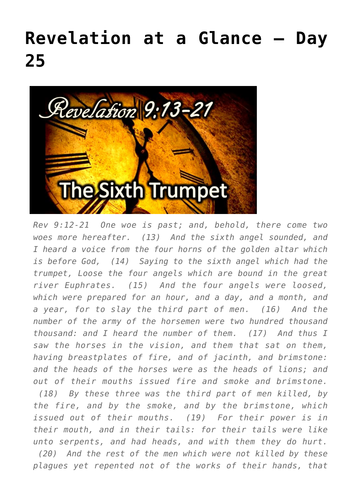## **[Revelation at a Glance – Day](https://maranatha.earnestlycontending.com/2022/06/15/revelation-at-a-glance-day-25/) [25](https://maranatha.earnestlycontending.com/2022/06/15/revelation-at-a-glance-day-25/)**



*Rev 9:12-21 One woe is past; and, behold, there come two woes more hereafter. (13) And the sixth angel sounded, and I heard a voice from the four horns of the golden altar which is before God, (14) Saying to the sixth angel which had the trumpet, Loose the four angels which are bound in the great river Euphrates. (15) And the four angels were loosed, which were prepared for an hour, and a day, and a month, and a year, for to slay the third part of men. (16) And the number of the army of the horsemen were two hundred thousand thousand: and I heard the number of them. (17) And thus I saw the horses in the vision, and them that sat on them, having breastplates of fire, and of jacinth, and brimstone: and the heads of the horses were as the heads of lions; and out of their mouths issued fire and smoke and brimstone. (18) By these three was the third part of men killed, by*

*the fire, and by the smoke, and by the brimstone, which issued out of their mouths. (19) For their power is in their mouth, and in their tails: for their tails were like unto serpents, and had heads, and with them they do hurt. (20) And the rest of the men which were not killed by these plagues yet repented not of the works of their hands, that*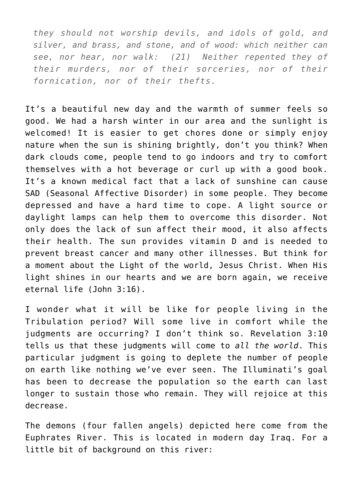*they should not worship devils, and idols of gold, and silver, and brass, and stone, and of wood: which neither can see, nor hear, nor walk: (21) Neither repented they of their murders, nor of their sorceries, nor of their fornication, nor of their thefts.*

It's a beautiful new day and the warmth of summer feels so good. We had a harsh winter in our area and the sunlight is welcomed! It is easier to get chores done or simply enjoy nature when the sun is shining brightly, don't you think? When dark clouds come, people tend to go indoors and try to comfort themselves with a hot beverage or curl up with a good book. It's a known medical fact that a lack of sunshine can cause SAD (Seasonal Affective Disorder) in some people. They become depressed and have a hard time to cope. A light source or daylight lamps can help them to overcome this disorder. Not only does the lack of sun affect their mood, it also affects their health. The sun provides vitamin D and is needed to prevent breast cancer and many other illnesses. But think for a moment about the Light of the world, Jesus Christ. When His light shines in our hearts and we are born again, we receive eternal life (John 3:16).

I wonder what it will be like for people living in the Tribulation period? Will some live in comfort while the judgments are occurring? I don't think so. Revelation 3:10 tells us that these judgments will come to *all the world*. This particular judgment is going to deplete the number of people on earth like nothing we've ever seen. The Illuminati's goal has been to decrease the population so the earth can last longer to sustain those who remain. They will rejoice at this decrease.

The demons (four fallen angels) depicted here come from the Euphrates River. This is located in modern day Iraq. For a little bit of background on this river: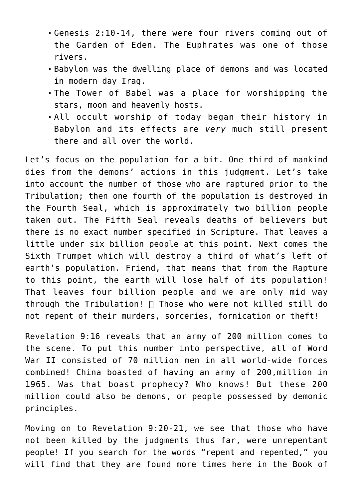- Genesis 2:10-14, there were four rivers coming out of the Garden of Eden. The Euphrates was one of those rivers.
- Babylon was the dwelling place of demons and was located in modern day Iraq.
- The Tower of Babel was a place for worshipping the stars, moon and heavenly hosts.
- All occult worship of today began their history in Babylon and its effects are *very* much still present there and all over the world.

Let's focus on the population for a bit. One third of mankind dies from the demons' actions in this judgment. Let's take into account the number of those who are raptured prior to the Tribulation; then one fourth of the population is destroyed in the Fourth Seal, which is approximately two billion people taken out. The Fifth Seal reveals deaths of believers but there is no exact number specified in Scripture. That leaves a little under six billion people at this point. Next comes the Sixth Trumpet which will destroy a third of what's left of earth's population. Friend, that means that from the Rapture to this point, the earth will lose half of its population! That leaves four billion people and we are only mid way through the Tribulation! Those who were not killed still do not repent of their murders, sorceries, fornication or theft!

Revelation 9:16 reveals that an army of 200 million comes to the scene. To put this number into perspective, all of Word War II consisted of 70 million men in all world-wide forces combined! China boasted of having an army of 200,million in 1965. Was that boast prophecy? Who knows! But these 200 million could also be demons, or people possessed by demonic principles.

Moving on to Revelation 9:20-21, we see that those who have not been killed by the judgments thus far, were unrepentant people! If you search for the words "repent and repented," you will find that they are found more times here in the Book of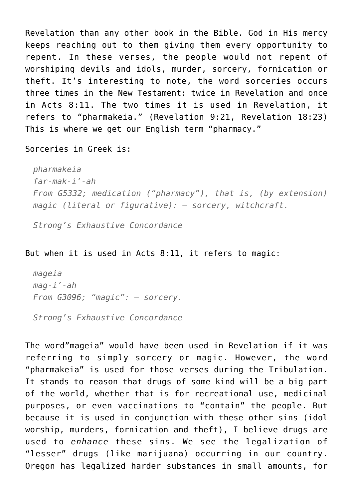Revelation than any other book in the Bible. God in His mercy keeps reaching out to them giving them every opportunity to repent. In these verses, the people would not repent of worshiping devils and idols, murder, sorcery, fornication or theft. It's interesting to note, the word sorceries occurs three times in the New Testament: twice in Revelation and once in Acts 8:11. The two times it is used in Revelation, it refers to "pharmakeia." (Revelation 9:21, Revelation 18:23) This is where we get our English term "pharmacy."

Sorceries in Greek is:

*pharmakeia far-mak-i'-ah From G5332; medication ("pharmacy"), that is, (by extension) magic (literal or figurative): – sorcery, witchcraft.*

*Strong's Exhaustive Concordance*

## But when it is used in Acts 8:11, it refers to magic:

*mageia mag-i'-ah From G3096; "magic": – sorcery.*

*Strong's Exhaustive Concordance*

The word"mageia" would have been used in Revelation if it was referring to simply sorcery or magic. However, the word "pharmakeia" is used for those verses during the Tribulation. It stands to reason that drugs of some kind will be a big part of the world, whether that is for recreational use, medicinal purposes, or even vaccinations to "contain" the people. But because it is used in conjunction with these other sins (idol worship, murders, fornication and theft), I believe drugs are used to *enhance* these sins. We see the legalization of "lesser" drugs (like marijuana) occurring in our country. Oregon has legalized harder substances in small amounts, for